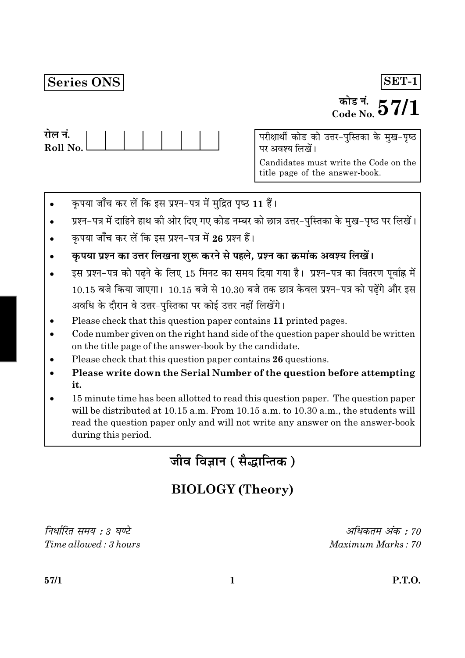# **Series ONS**

## $SET-1$

# <sup>कोड नं.</sup>  $57/1$

| राल न.     |  |  |  |  |
|------------|--|--|--|--|
| Roll No. L |  |  |  |  |
|            |  |  |  |  |

परीक्षार्थी कोड को उत्तर-पुस्तिका के मुख-पृष्ठ पर अवश्य लिखें।

Candidates must write the Code on the title page of the answer-book.

- कृपया जाँच कर लें कि इस प्रश्न-पत्र में मुद्रित पृष्ठ 11 हैं।
- प्रश्न-पत्र में दाहिने हाथ की ओर दिए गए कोड नम्बर को छात्र उत्तर-पुस्तिका के मुख-पृष्ठ पर लिखें।
- कृपया जाँच कर लें कि इस प्रश्न-पत्र में 26 प्रश्न हैं।
- कृपया प्रश्न का उत्तर लिखना शुरू करने से पहले, प्रश्न का क्रमांक अवश्य लिखें।
- इस प्रश्न-पत्र को पढने के लिए 15 मिनट का समय दिया गया है। प्रश्न-पत्र का वितरण पूर्वाह्न में  $10.15$  बजे किया जाएगा।  $10.15$  बजे से  $10.30$  बजे तक छात्र केवल प्रश्न-पत्र को पढ़ेंगे और इस अवधि के दौरान वे उत्तर-पस्तिका पर कोई उत्तर नहीं लिखेंगे।
- Please check that this question paper contains 11 printed pages.
- Code number given on the right hand side of the question paper should be written on the title page of the answer-book by the candidate.
- Please check that this question paper contains 26 questions.
- Please write down the Serial Number of the question before attempting it.
- 15 minute time has been allotted to read this question paper. The question paper will be distributed at 10.15 a.m. From 10.15 a.m. to 10.30 a.m., the students will read the question paper only and will not write any answer on the answer-book during this period.

जीव विज्ञान (सैद्धान्तिक)

# **BIOLOGY** (Theory)

निर्धारित समय : 3 घण्टे  $Time allowed \cdot 3 hours$ 

अधिकतम अंक : 70  $Maximum$  Marks  $\cdot$  70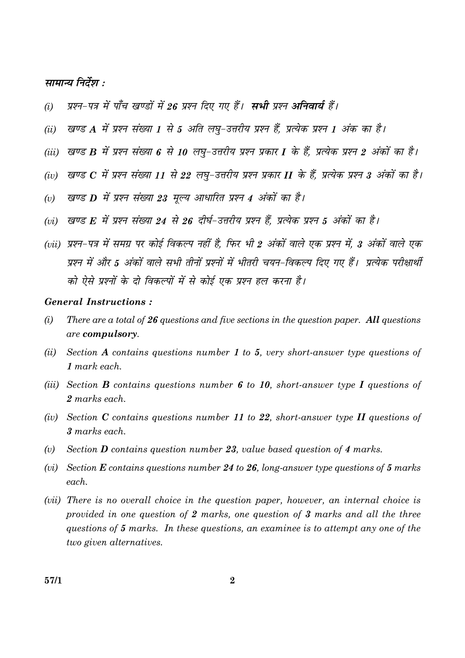#### सामान्य निर्देश :

- प्रश्न-पत्र में पाँच खण्डों में 26 प्रश्न दिए गए हैं। सभी प्रश्न अनिवार्य हैं।  $(i)$
- खण्ड A में प्रश्न संख्या 1 से 5 अति लघू-उत्तरीय प्रश्न हैं, प्रत्येक प्रश्न 1 अंक का है।  $(ii)$
- (iii) खण्ड B में प्रश्न संख्या 6 से 10 लघु-उत्तरीय प्रश्न प्रकार I के हैं, प्रत्येक प्रश्न 2 अंकों का है।
- (iv) खण्ड  $C$  में प्रश्न संख्या 11 से 22 लघ-उत्तरीय प्रश्न प्रकार II के हैं, प्रत्येक प्रश्न 3 अंकों का है।
- खण्ड D में प्रश्न संख्या 23 मूल्य आधारित प्रश्न 4 अंकों का है।  $(v)$
- (vi) खण्ड F, में प्रश्न संख्या 24 से 26 दीर्घ-उत्तरीय प्रश्न हैं, प्रत्येक प्रश्न 5 अंकों का है।
- (vii) प्रश्न-पत्र में समग्र पर कोई विकल्प नहीं है. फिर भी 2 अंकों वाले एक प्रश्न में, 3 अंकों वाले एक प्रश्न में और 5 अंकों वाले सभी तीनों प्रश्नों में भीतरी चयन-विकल्प दिए गए हैं। प्रत्येक परीक्षार्थी को ऐसे प्रश्नों के दो विकल्पों में से कोई एक प्रश्न हल करना है।

#### **General Instructions:**

- $(i)$ There are a total of  $26$  questions and five sections in the question paper. All questions are compulsory.
- $(ii)$ Section A contains questions number 1 to 5, very short-answer type questions of  $1$  mark each.
- (iii) Section **B** contains questions number 6 to 10, short-answer type I questions of 2 marks each.
- (iv) Section C contains questions number 11 to 22, short-answer type II questions of 3 marks each.
- $(v)$ Section **D** contains question number 23, value based question of 4 marks.
- (vi) Section  $E$  contains questions number 24 to 26, long-answer type questions of 5 marks each.
- (*vii*) There is no overall choice in the question paper, however, an internal choice is provided in one question of 2 marks, one question of 3 marks and all the three questions of 5 marks. In these questions, an examinee is to attempt any one of the two given alternatives.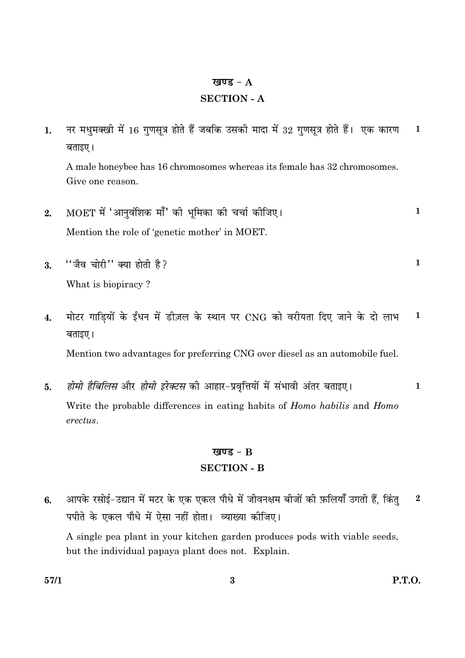#### खण्ड -  $A$

#### **SECTION - A**

नर मधुमक्खी में 16 गुणसूत्र होते हैं जबकि उसकी मादा में 32 गुणसूत्र होते हैं। एक कारण  $\mathbf{1}$  $1.$ बताइए।

A male honeybee has 16 chromosomes whereas its female has 32 chromosomes. Give one reason.

- MOET में 'आनवंशिक माँ' की भमिका की चर्चा कीजिए।  $\mathbf{1}$  $2.$ Mention the role of 'genetic mother' in MOET.
- "जैव चोरी" क्या होती है?  $\mathbf{1}$  $\overline{3}$ . What is biopiracy?
- मोटर गाडियों के ईंधन में डीज़ल के स्थान पर CNG को वरीयता दिए जाने के दो लाभ  $\mathbf{1}$  $\overline{4}$ . बताइए।

Mention two advantages for preferring CNG over diesel as an automobile fuel.

*होमो हैबिलिस* और *होमो इरेक्टस* की आहार-प्रवृत्तियों में संभावी अंतर बताइए।  $\mathbf{1}$  $5.$ Write the probable differences in eating habits of *Homo habilis* and *Homo* erectus.

## खण्ड -  $B$ **SECTION - B**

आपके रसोई-उद्यान में मटर के एक एकल पौधे में जीवनक्षम बीजों की फ़लियाँ उगती हैं, किंत  $\bf{2}$  $6.$ पपीते के एकल पौधे में ऐसा नहीं होता। व्याख्या कीजिए। A single pea plant in your kitchen garden produces pods with viable seeds, but the individual papaya plant does not. Explain.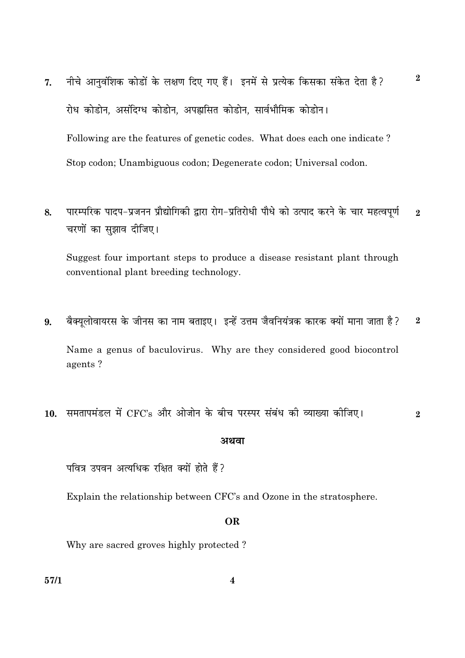- नीचे आनुवंशिक कोडों के लक्षण दिए गए हैं। इनमें से प्रत्येक किसका संकेत देता है? 7. रोध कोडोन, असंदिग्ध कोडोन, अपह्लसित कोडोन, सार्वभौमिक कोडोन। Following are the features of genetic codes. What does each one indicate? Stop codon; Unambiguous codon; Degenerate codon; Universal codon.
- पारम्परिक पादप-प्रजनन प्रौद्योगिकी द्वारा रोग-प्रतिरोधी पौधे को उत्पाद करने के चार महत्वपूर्ण 8.  $\overline{2}$ चरणों का सुझाव दीजिए।

Suggest four important steps to produce a disease resistant plant through conventional plant breeding technology.

बैक्यलोवायरस के जीनस का नाम बताइए। इन्हें उत्तम जैवनियंत्रक कारक क्यों माना जाता है?  $\bf 2$ 9.

Name a genus of baculovirus. Why are they considered good biocontrol agents?

10. समतापमंडल में CFC's और ओजोन के बीच परस्पर संबंध की व्याख्या कीजिए।  $\bf{2}$ 

#### अथवा

पवित्र उपवन अत्यधिक रक्षित क्यों होते हैं?

Explain the relationship between CFC's and Ozone in the stratosphere.

#### **OR**

Why are sacred groves highly protected?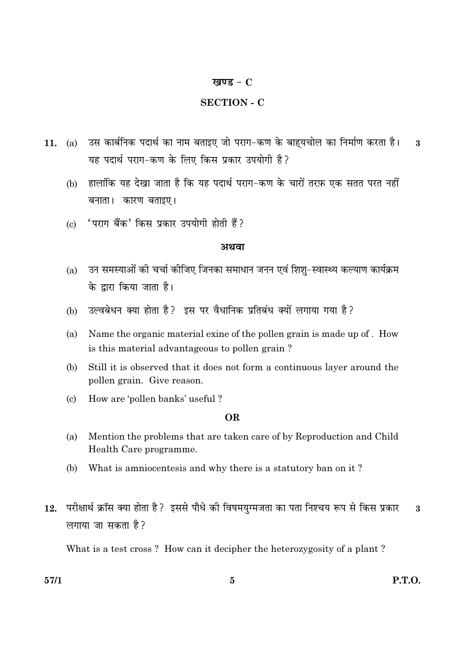#### खण्ड -  $C$

#### **SECTION - C**

- उस कार्बनिक पदार्थ का नाम बताइए जो पराग-कण के बाह्यचोल का निर्माण करता है।  $(a)$  $\mathbf{R}$  $11.$ यह पदार्थ पराग-कण के लिए किस प्रकार उपयोगी है?
	- (b) हालांकि यह देखा जाता है कि यह पदार्थ पराग-कण के चारों तरफ़ एक सतत परत नहीं बनाता। कारण बताइए।
	- 'पराग बैंक' किस प्रकार उपयोगी होती हैं?  $\left( \mathrm{c}\right)$

#### अथवा

- उन समस्याओं की चर्चा कोजिए जिनका समाधान जनन एवं शिश्-स्वास्थ्य कल्याण कार्यक्रम  $(a)$ के द्वारा किया जाता है।
- उल्वबेधन क्या होता है? इस पर वैधानिक प्रतिबंध क्यों लगाया गया है?  $(b)$
- $(a)$ Name the organic material exine of the pollen grain is made up of. How is this material advantageous to pollen grain?
- Still it is observed that it does not form a continuous layer around the (b) pollen grain. Give reason.
- $\left( \mathrm{c}\right)$ How are 'pollen banks' useful?

#### OR.

- (a) Mention the problems that are taken care of by Reproduction and Child Health Care programme.
- (b) What is amniocentesis and why there is a statutory ban on it?
- परीक्षार्थ क्रॉस क्या होता है ? इससे पौधे की विषमयुग्मजता का पता निश्चय रूप से किस प्रकार  $12.$  $\overline{3}$ लगाया जा सकता है?

What is a test cross? How can it decipher the heterozygosity of a plant?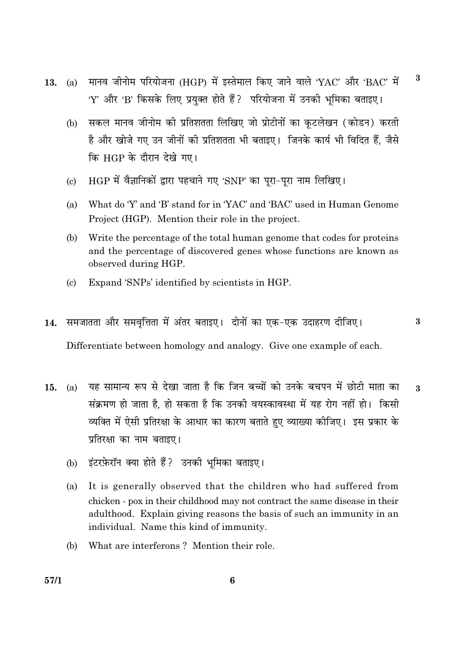- मानव जीनोम परियोजना (HGP) में इस्तेमाल किए जाने वाले 'YAC' और 'BAC' में 13. (a) 'Y' और 'B' किसके लिए प्रयुक्त होते हैं ? परियोजना में उनकी भूमिका बताइए।
	- सकल मानव जीनोम की प्रतिशतता लिखिए जो प्रोटीनों का कुटलेखन (कोडन) करती  $(b)$ है और खोजे गए उन जीनों की प्रतिशतता भी बताइए। जिनके कार्य भी विदित हैं, जैसे कि HGP के दौरान देखे गए।
	- HGP में वैज्ञानिकों द्वारा पहचाने गए 'SNP' का पूरा-पूरा नाम लिखिए।  $\left( \mathrm{e}\right)$
	- What do 'Y' and 'B' stand for in 'YAC' and 'BAC' used in Human Genome  $(a)$ Project (HGP). Mention their role in the project.
	- (b) Write the percentage of the total human genome that codes for proteins and the percentage of discovered genes whose functions are known as observed during HGP.
	- Expand 'SNPs' identified by scientists in HGP.  $\left( \mathrm{c} \right)$
- समजातता और समवृत्तिता में अंतर बताइए। दोनों का एक-एक उदाहरण दीजिए।  $14.$

Differentiate between homology and analogy. Give one example of each.

- यह सामान्य रूप से देखा जाता है कि जिन बच्चों को उनके बचपन में छोटी माता का  $(a)$ 15.  $\mathbf{R}$ संक्रमण हो जाता है, हो सकता है कि उनकी वयस्कावस्था में यह रोग नहीं हो। किसी व्यक्ति में ऐसी प्रतिरक्षा के आधार का कारण बताते हुए व्याख्या कोजिए। इस प्रकार के प्रतिरक्षा का नाम बताइए।
	- इंटरफ़ेरॉन क्या होते हैं? उनकी भूमिका बताइए।  $(b)$
	- $(a)$ It is generally observed that the children who had suffered from chicken - pox in their childhood may not contract the same disease in their adulthood. Explain giving reasons the basis of such an immunity in an individual. Name this kind of immunity.
	- $(b)$ What are interferons? Mention their role.

 $\bf{3}$ 

 $\bf{3}$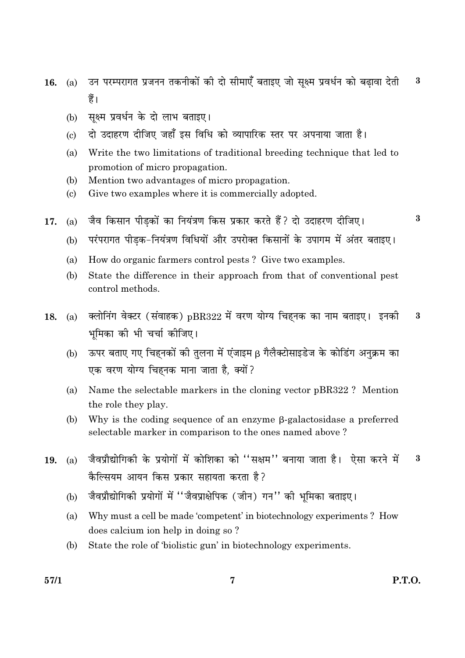- उन परम्परागत प्रजनन तकनीकों की दो सीमाएँ बताइए जो सुक्ष्म प्रवर्धन को बढावा देती  $\bf{3}$ 16. (a) हैं।
	- सक्ष्म प्रवर्धन के दो लाभ बताइए।  $(b)$
	- दो उदाहरण दीजिए जहाँ इस विधि को व्यापारिक स्तर पर अपनाया जाता है।  $\epsilon$
	- $(a)$ Write the two limitations of traditional breeding technique that led to promotion of micro propagation.
	- $(b)$ Mention two advantages of micro propagation.
	- $(c)$ Give two examples where it is commercially adopted.
- जैव किसान पीडकों का नियंत्रण किस प्रकार करते हैं? दो उदाहरण दीजिए। 17.  $(a)$ 
	- परंपरागत पीडक-नियंत्रण विधियों और उपरोक्त किसानों के उपागम में अंतर बताइए।  $(b)$
	- $(a)$ How do organic farmers control pests? Give two examples.
	- (b) State the difference in their approach from that of conventional pest control methods.
- क्लोनिंग वेक्टर (संवाहक) pBR322 में वरण योग्य चिहनक का नाम बताइए। इनकी 18.  $(a)$ 3 भुमिका की भी चर्चा कीजिए।
	- ऊपर बताए गए चिहनकों की तुलना में एंजाइम β गैलैक्टोसाइडेज के कोडिंग अनुक्रम का  $(b)$ एक वरण योग्य चिहनक माना जाता है, क्यों ?
	- Name the selectable markers in the cloning vector pBR322? Mention  $(a)$ the role they play.
	- (b) Why is the coding sequence of an enzyme  $\beta$ -galactosidase a preferred selectable marker in comparison to the ones named above?
- जैवप्रौद्योगिकी के प्रयोगों में कोशिका को ''सक्षम'' बनाया जाता है। ऐसा करने में 3 19.  $(a)$ कैल्सियम आयन किस प्रकार सहायता करता है?
	- जैवप्रौद्योगिकी प्रयोगों में "जैवप्राक्षेपिक (जीन) गन" की भूमिका बताइए।  $(b)$
	- Why must a cell be made 'competent' in biotechnology experiments ? How (a) does calcium ion help in doing so?
	- (b) State the role of 'biolistic gun' in biotechnology experiments.

**P.T.O.** 

 $\bf{3}$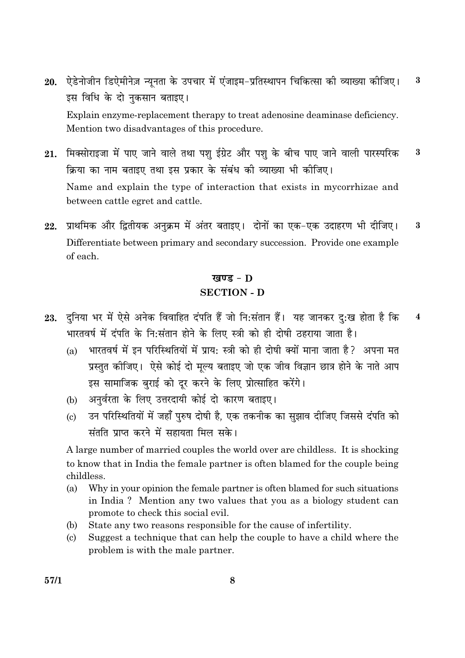- 20. ऐडेनोजीन डिऐमीनेज़ न्यनता के उपचार में एंजाइम-प्रतिस्थापन चिकित्सा की व्याख्या कीजिए।  $\bf{3}$ इस विधि के दो नुकसान बताइए। Explain enzyme-replacement therapy to treat adenosine deaminase deficiency. Mention two disadvantages of this procedure.
- 21. मिक्सोराइजा में पाए जाने वाले तथा पश ईग्रेट और पश के बीच पाए जाने वाली पारस्परिक  $\bf{3}$ क्रिया का नाम बताइए तथा इस प्रकार के संबंध की व्याख्या भी कीजिए। Name and explain the type of interaction that exists in mycorrhizae and between cattle egret and cattle.
- प्राथमिक और द्वितीयक अनुक्रम में अंतर बताइए। दोनों का एक-एक उदाहरण भी दीजिए। 22.  $\bf{3}$ Differentiate between primary and secondary succession. Provide one example of each.

### खण्ड -  $\bf{D}$ **SECTION - D**

- 23. दुनिया भर में ऐसे अनेक विवाहित दंपति हैं जो नि:संतान हैं। यह जानकर दु:ख होता है कि  $\boldsymbol{4}$ भारतवर्ष में दंपति के नि:संतान होने के लिए स्त्री को ही दोषी ठहराया जाता है।
	- भारतवर्ष में इन परिस्थितियों में प्राय: स्त्री को ही दोषी क्यों माना जाता है? अपना मत  $(a)$ प्रस्तत कीजिए। ऐसे कोई दो मल्य बताइए जो एक जीव विज्ञान छात्र होने के नाते आप इस सामाजिक बुराई को दूर करने के लिए प्रोत्साहित करेंगे।
	- अनुर्वरता के लिए उत्तरदायी कोई दो कारण बताइए।  $(b)$
	- उन परिस्थितियों में जहाँ परुष दोषी है. एक तकनीक का सझाव दीजिए जिससे दंपति को  $\left( \mathrm{e}\right)$ संतति पाप्त करने में सहायता मिल सके।

A large number of married couples the world over are childless. It is shocking to know that in India the female partner is often blamed for the couple being childless.

- $(a)$ Why in your opinion the female partner is often blamed for such situations in India? Mention any two values that you as a biology student can promote to check this social evil.
- $(b)$ State any two reasons responsible for the cause of infertility.
- Suggest a technique that can help the couple to have a child where the  $(c)$ problem is with the male partner.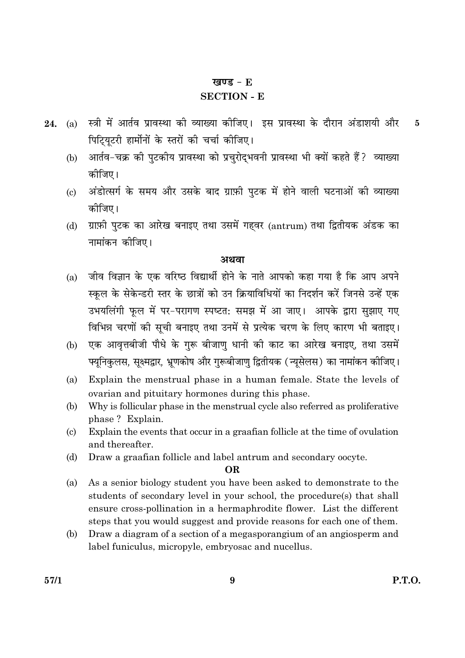#### खण्ड -  $E$

#### **SECTION - E**

- (a) स्त्री में आर्तव प्रावस्था की व्याख्या कीजिए। इस प्रावस्था के दौरान अंडाशयी और 24.  $\overline{5}$ पिट्यिटरी हार्मोनों के स्तरों की चर्चा कीजिए।
	- आर्तव-चक्र की पुटकीय प्रावस्था को प्रचुरोद्भवनी प्रावस्था भी क्यों कहते हैं? व्याख्या  $(b)$ कोजिए।
	- अंडोत्सर्ग के समय और उसके बाद ग्राफ़ी पटक में होने वाली घटनाओं की व्याख्या  $\left( \mathrm{c}\right)$ कोजिए।
	- ग्राफ़ी पुटक का आरेख बनाइए तथा उसमें गहवर (antrum) तथा द्वितीयक अंडक का  $(d)$ नामांकन कोजिए।

#### अथवा

- जीव विज्ञान के एक वरिष्ठ विद्यार्थी होने के नाते आपको कहा गया है कि आप अपने  $(a)$ स्कुल के सेकेन्डरी स्तर के छात्रों को उन क्रियाविधियों का निदर्शन करें जिनसे उन्हें एक उभयलिंगी फूल में पर-परागण स्पष्टत: समझ में आ जाए। आपके द्वारा सुझाए गए विभिन्न चरणों की सूची बनाइए तथा उनमें से प्रत्येक चरण के लिए कारण भी बताइए।
- एक आवृत्तबीजी पौधे के गुरू बीजाणु धानी की काट का आरेख बनाइए, तथा उसमें  $(b)$ फ्यूनिकुलस, सूक्ष्मद्वार, भ्रूणकोष और गुरूबीजाणु द्वितीयक (न्यूसेलस) का नामांकन कीजिए।
- $(a)$ Explain the menstrual phase in a human female. State the levels of ovarian and pituitary hormones during this phase.
- Why is follicular phase in the menstrual cycle also referred as proliferative (b) phase? Explain.
- Explain the events that occur in a graafian follicle at the time of ovulation  $(c)$ and thereafter.
- $(d)$ Draw a graafian follicle and label antrum and secondary oocyte.

#### **OR**

- As a senior biology student you have been asked to demonstrate to the  $(a)$ students of secondary level in your school, the procedure(s) that shall ensure cross-pollination in a hermaphrodite flower. List the different steps that you would suggest and provide reasons for each one of them.
- (b) Draw a diagram of a section of a megasporangium of an angiosperm and label funiculus, micropyle, embryosac and nucellus.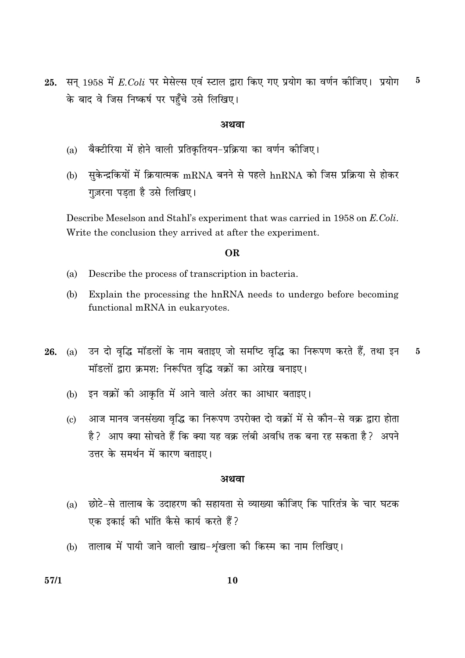25. सन् 1958 में  $E. Coli$  पर मेसेल्स एवं स्टाल द्वारा किए गए प्रयोग का वर्णन कीजिए। प्रयोग  $\bf{5}$ के बाद वे जिस निष्कर्ष पर पहुँचे उसे लिखिए।

#### अथवा

- बैक्टीरिया में होने वाली प्रतिकृतियन-प्रक्रिया का वर्णन कोजिए।  $(a)$
- (b) सुकेन्द्रकियों में क्रियात्मक mRNA बनने से पहले hnRNA को जिस प्रक्रिया से होकर गुज़रना पड़ता है उसे लिखिए।

Describe Meselson and Stahl's experiment that was carried in 1958 on E.Coli. Write the conclusion they arrived at after the experiment.

#### OR.

- $(a)$ Describe the process of transcription in bacteria.
- $(b)$ Explain the processing the hnRNA needs to undergo before becoming functional mRNA in eukaryotes.
- 26. (a) उन दो वृद्धि मॉडलों के नाम बताइए जो समष्टि वृद्धि का निरूपण करते हैं, तथा इन  $\bf{5}$ मॉडलों द्वारा क्रमश: निरूपित वृद्धि वक्रों का आरेख बनाइए।
	- (b) इन वक्रों की आकृति में आने वाले अंतर का आधार बताइए।
	- आज मानव जनसंख्या वृद्धि का निरूपण उपरोक्त दो वक्रों में से कौन-से वक्र द्वारा होता  $\left( \mathrm{c}\right)$ है? आप क्या सोचते हैं कि क्या यह वक्र लंबी अवधि तक बना रह सकता है? अपने उत्तर के समर्थन में कारण बताइए।

#### अथवा

- छोटे-से तालाब के उदाहरण की सहायता से व्याख्या कीजिए कि पारितंत्र के चार घटक  $(a)$ एक इकाई की भांति कैसे कार्य करते हैं?
- (b) तालाब में पायी जाने वाली खाद्य-शंखला की किस्म का नाम लिखिए।

10